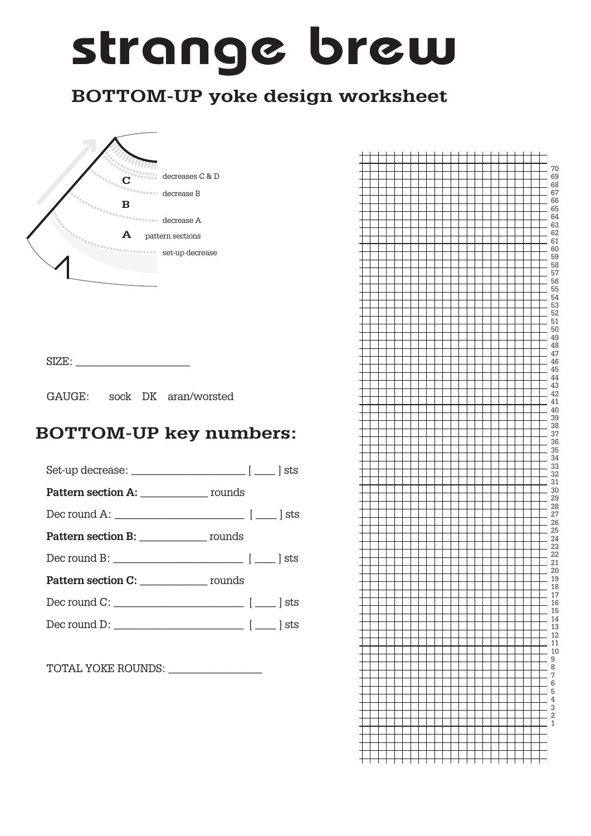# strange brew

### **BOTTOM-UP yoke design worksheet**



 $\text{SIZE:}\quad \textcolor{red}{\overbrace{\text{SIZE:}\quad \text{?}}$ 

GAUGE: sock DK aran/worsted

#### **BOTTOM-UP key numbers:**



TOTAL YOKE ROUNDS: \_\_\_\_\_\_\_\_\_\_\_\_\_\_\_\_\_\_

|   |  |  |  |  |  |  |  |  |  |  |  | 70<br>69                                                                                         |
|---|--|--|--|--|--|--|--|--|--|--|--|--------------------------------------------------------------------------------------------------|
|   |  |  |  |  |  |  |  |  |  |  |  | 68                                                                                               |
|   |  |  |  |  |  |  |  |  |  |  |  | 67                                                                                               |
|   |  |  |  |  |  |  |  |  |  |  |  | 66                                                                                               |
|   |  |  |  |  |  |  |  |  |  |  |  | 65                                                                                               |
|   |  |  |  |  |  |  |  |  |  |  |  | 64                                                                                               |
|   |  |  |  |  |  |  |  |  |  |  |  | 63                                                                                               |
|   |  |  |  |  |  |  |  |  |  |  |  | 62<br>61                                                                                         |
|   |  |  |  |  |  |  |  |  |  |  |  | 60                                                                                               |
|   |  |  |  |  |  |  |  |  |  |  |  | 59                                                                                               |
|   |  |  |  |  |  |  |  |  |  |  |  | 58                                                                                               |
|   |  |  |  |  |  |  |  |  |  |  |  | 57                                                                                               |
|   |  |  |  |  |  |  |  |  |  |  |  | 56                                                                                               |
|   |  |  |  |  |  |  |  |  |  |  |  | 55                                                                                               |
|   |  |  |  |  |  |  |  |  |  |  |  | 54<br>53                                                                                         |
|   |  |  |  |  |  |  |  |  |  |  |  | 52                                                                                               |
|   |  |  |  |  |  |  |  |  |  |  |  | 51                                                                                               |
|   |  |  |  |  |  |  |  |  |  |  |  | 50                                                                                               |
|   |  |  |  |  |  |  |  |  |  |  |  | 49                                                                                               |
|   |  |  |  |  |  |  |  |  |  |  |  | 48                                                                                               |
|   |  |  |  |  |  |  |  |  |  |  |  | 47                                                                                               |
|   |  |  |  |  |  |  |  |  |  |  |  | 46                                                                                               |
|   |  |  |  |  |  |  |  |  |  |  |  | 45                                                                                               |
|   |  |  |  |  |  |  |  |  |  |  |  | 44                                                                                               |
|   |  |  |  |  |  |  |  |  |  |  |  | 43<br>42                                                                                         |
|   |  |  |  |  |  |  |  |  |  |  |  | 41                                                                                               |
|   |  |  |  |  |  |  |  |  |  |  |  | 40                                                                                               |
|   |  |  |  |  |  |  |  |  |  |  |  | 39                                                                                               |
|   |  |  |  |  |  |  |  |  |  |  |  | 38                                                                                               |
|   |  |  |  |  |  |  |  |  |  |  |  | 37                                                                                               |
|   |  |  |  |  |  |  |  |  |  |  |  | 36                                                                                               |
|   |  |  |  |  |  |  |  |  |  |  |  | 35                                                                                               |
|   |  |  |  |  |  |  |  |  |  |  |  | 34                                                                                               |
|   |  |  |  |  |  |  |  |  |  |  |  | 33<br>32                                                                                         |
|   |  |  |  |  |  |  |  |  |  |  |  | 31                                                                                               |
|   |  |  |  |  |  |  |  |  |  |  |  | 30                                                                                               |
|   |  |  |  |  |  |  |  |  |  |  |  | 29                                                                                               |
|   |  |  |  |  |  |  |  |  |  |  |  | 28                                                                                               |
|   |  |  |  |  |  |  |  |  |  |  |  | 27                                                                                               |
|   |  |  |  |  |  |  |  |  |  |  |  | 26                                                                                               |
|   |  |  |  |  |  |  |  |  |  |  |  | 25                                                                                               |
|   |  |  |  |  |  |  |  |  |  |  |  | 24<br>23                                                                                         |
|   |  |  |  |  |  |  |  |  |  |  |  | 22                                                                                               |
|   |  |  |  |  |  |  |  |  |  |  |  | 21                                                                                               |
|   |  |  |  |  |  |  |  |  |  |  |  | 20                                                                                               |
|   |  |  |  |  |  |  |  |  |  |  |  | 19                                                                                               |
| f |  |  |  |  |  |  |  |  |  |  |  | 18                                                                                               |
|   |  |  |  |  |  |  |  |  |  |  |  | $\frac{17}{16}$<br>$\frac{15}{15}$                                                               |
|   |  |  |  |  |  |  |  |  |  |  |  |                                                                                                  |
|   |  |  |  |  |  |  |  |  |  |  |  |                                                                                                  |
|   |  |  |  |  |  |  |  |  |  |  |  | $\begin{array}{c} 14 \\ 13 \\ 12 \\ 11 \\ 9 \\ 8 \\ 7 \\ 6 \\ 5 \\ 4 \\ 3 \\ 2 \\ 1 \end{array}$ |
|   |  |  |  |  |  |  |  |  |  |  |  |                                                                                                  |
|   |  |  |  |  |  |  |  |  |  |  |  |                                                                                                  |
|   |  |  |  |  |  |  |  |  |  |  |  |                                                                                                  |
|   |  |  |  |  |  |  |  |  |  |  |  |                                                                                                  |
|   |  |  |  |  |  |  |  |  |  |  |  |                                                                                                  |
|   |  |  |  |  |  |  |  |  |  |  |  |                                                                                                  |
|   |  |  |  |  |  |  |  |  |  |  |  |                                                                                                  |
|   |  |  |  |  |  |  |  |  |  |  |  |                                                                                                  |
|   |  |  |  |  |  |  |  |  |  |  |  |                                                                                                  |
|   |  |  |  |  |  |  |  |  |  |  |  |                                                                                                  |
|   |  |  |  |  |  |  |  |  |  |  |  |                                                                                                  |
|   |  |  |  |  |  |  |  |  |  |  |  |                                                                                                  |
|   |  |  |  |  |  |  |  |  |  |  |  |                                                                                                  |
|   |  |  |  |  |  |  |  |  |  |  |  |                                                                                                  |
|   |  |  |  |  |  |  |  |  |  |  |  |                                                                                                  |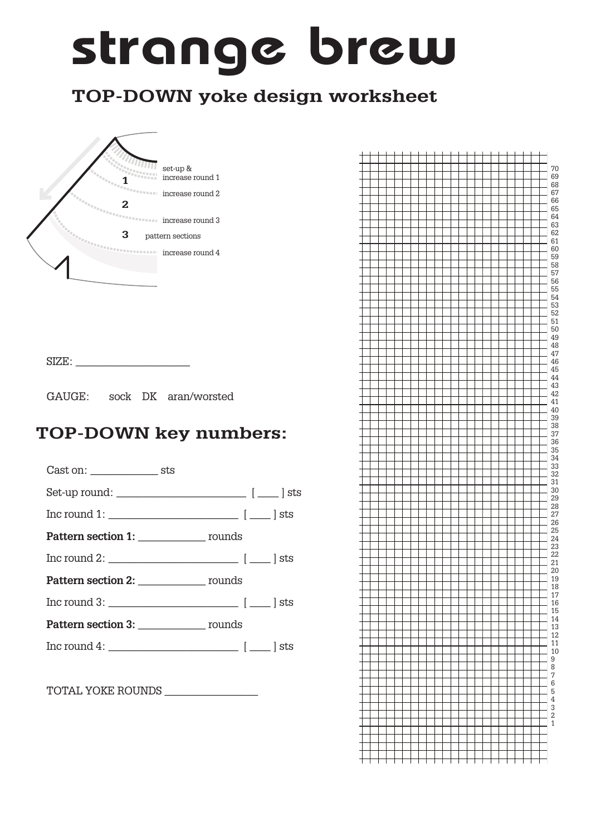# strange brew

## **TOP-DOWN yoke design worksheet**



 $SIZE:$ 

GAUGE: sock DK aran/worsted

#### **TOP-DOWN key numbers:**

Cast on: \_\_\_\_\_\_\_\_\_\_\_\_\_ sts Set-up round: \_\_\_\_\_\_\_\_\_\_\_\_\_\_\_\_\_\_\_\_\_\_\_\_\_ [ \_\_\_\_ ] sts Inc round 1: \_\_\_\_\_\_\_\_\_\_\_\_\_\_\_\_\_\_\_\_\_\_\_\_\_ [ \_\_\_\_ ] sts Pattern section 1: \_\_\_\_\_\_\_\_\_\_\_\_\_\_\_ rounds  $\text{Inc round 2: } \underline{\qquad \qquad \qquad }$ Pattern section 2: \_\_\_\_\_\_\_\_\_\_\_\_\_\_\_ rounds Inc round 3:  $\Box$ **Pattern section 3:** Tounds Inc round 4: \_\_\_\_\_\_\_\_\_\_\_\_\_\_\_\_\_\_\_\_\_\_\_\_\_ [ \_\_\_\_ ] sts

TOTAL YOKE ROUNDS \_\_\_\_\_\_\_\_\_\_\_\_\_\_\_\_\_\_

|  |  |  |  |  |  |  |  |  |  |  |  | 70                                                              |
|--|--|--|--|--|--|--|--|--|--|--|--|-----------------------------------------------------------------|
|  |  |  |  |  |  |  |  |  |  |  |  | 69                                                              |
|  |  |  |  |  |  |  |  |  |  |  |  | 68                                                              |
|  |  |  |  |  |  |  |  |  |  |  |  | 67                                                              |
|  |  |  |  |  |  |  |  |  |  |  |  | 66                                                              |
|  |  |  |  |  |  |  |  |  |  |  |  | 65<br>64                                                        |
|  |  |  |  |  |  |  |  |  |  |  |  | 63                                                              |
|  |  |  |  |  |  |  |  |  |  |  |  | 62                                                              |
|  |  |  |  |  |  |  |  |  |  |  |  | 61                                                              |
|  |  |  |  |  |  |  |  |  |  |  |  | 60                                                              |
|  |  |  |  |  |  |  |  |  |  |  |  | 59                                                              |
|  |  |  |  |  |  |  |  |  |  |  |  | 58                                                              |
|  |  |  |  |  |  |  |  |  |  |  |  | 57<br>56                                                        |
|  |  |  |  |  |  |  |  |  |  |  |  | 55                                                              |
|  |  |  |  |  |  |  |  |  |  |  |  | 54                                                              |
|  |  |  |  |  |  |  |  |  |  |  |  | 53                                                              |
|  |  |  |  |  |  |  |  |  |  |  |  | 52                                                              |
|  |  |  |  |  |  |  |  |  |  |  |  | 51                                                              |
|  |  |  |  |  |  |  |  |  |  |  |  | 50                                                              |
|  |  |  |  |  |  |  |  |  |  |  |  | 49                                                              |
|  |  |  |  |  |  |  |  |  |  |  |  | 48<br>47                                                        |
|  |  |  |  |  |  |  |  |  |  |  |  | 46                                                              |
|  |  |  |  |  |  |  |  |  |  |  |  | 45                                                              |
|  |  |  |  |  |  |  |  |  |  |  |  | 44                                                              |
|  |  |  |  |  |  |  |  |  |  |  |  | 43                                                              |
|  |  |  |  |  |  |  |  |  |  |  |  | 42                                                              |
|  |  |  |  |  |  |  |  |  |  |  |  | 41                                                              |
|  |  |  |  |  |  |  |  |  |  |  |  | 40<br>39                                                        |
|  |  |  |  |  |  |  |  |  |  |  |  | 38                                                              |
|  |  |  |  |  |  |  |  |  |  |  |  | 37                                                              |
|  |  |  |  |  |  |  |  |  |  |  |  | 36                                                              |
|  |  |  |  |  |  |  |  |  |  |  |  | 35                                                              |
|  |  |  |  |  |  |  |  |  |  |  |  | 34                                                              |
|  |  |  |  |  |  |  |  |  |  |  |  | 33                                                              |
|  |  |  |  |  |  |  |  |  |  |  |  | 32                                                              |
|  |  |  |  |  |  |  |  |  |  |  |  | 31<br>30                                                        |
|  |  |  |  |  |  |  |  |  |  |  |  | 29                                                              |
|  |  |  |  |  |  |  |  |  |  |  |  | 28                                                              |
|  |  |  |  |  |  |  |  |  |  |  |  | 27                                                              |
|  |  |  |  |  |  |  |  |  |  |  |  | 26                                                              |
|  |  |  |  |  |  |  |  |  |  |  |  | 25                                                              |
|  |  |  |  |  |  |  |  |  |  |  |  | 24                                                              |
|  |  |  |  |  |  |  |  |  |  |  |  | 23                                                              |
|  |  |  |  |  |  |  |  |  |  |  |  | 22<br>21                                                        |
|  |  |  |  |  |  |  |  |  |  |  |  | 20                                                              |
|  |  |  |  |  |  |  |  |  |  |  |  | 19                                                              |
|  |  |  |  |  |  |  |  |  |  |  |  | 18                                                              |
|  |  |  |  |  |  |  |  |  |  |  |  | $\begin{array}{c} 17 \\ 16 \\ 15 \\ 14 \\ 13 \\ 12 \end{array}$ |
|  |  |  |  |  |  |  |  |  |  |  |  |                                                                 |
|  |  |  |  |  |  |  |  |  |  |  |  |                                                                 |
|  |  |  |  |  |  |  |  |  |  |  |  |                                                                 |
|  |  |  |  |  |  |  |  |  |  |  |  |                                                                 |
|  |  |  |  |  |  |  |  |  |  |  |  |                                                                 |
|  |  |  |  |  |  |  |  |  |  |  |  | 110987654321                                                    |
|  |  |  |  |  |  |  |  |  |  |  |  |                                                                 |
|  |  |  |  |  |  |  |  |  |  |  |  |                                                                 |
|  |  |  |  |  |  |  |  |  |  |  |  |                                                                 |
|  |  |  |  |  |  |  |  |  |  |  |  |                                                                 |
|  |  |  |  |  |  |  |  |  |  |  |  |                                                                 |
|  |  |  |  |  |  |  |  |  |  |  |  |                                                                 |
|  |  |  |  |  |  |  |  |  |  |  |  |                                                                 |
|  |  |  |  |  |  |  |  |  |  |  |  |                                                                 |
|  |  |  |  |  |  |  |  |  |  |  |  |                                                                 |
|  |  |  |  |  |  |  |  |  |  |  |  |                                                                 |
|  |  |  |  |  |  |  |  |  |  |  |  |                                                                 |
|  |  |  |  |  |  |  |  |  |  |  |  |                                                                 |